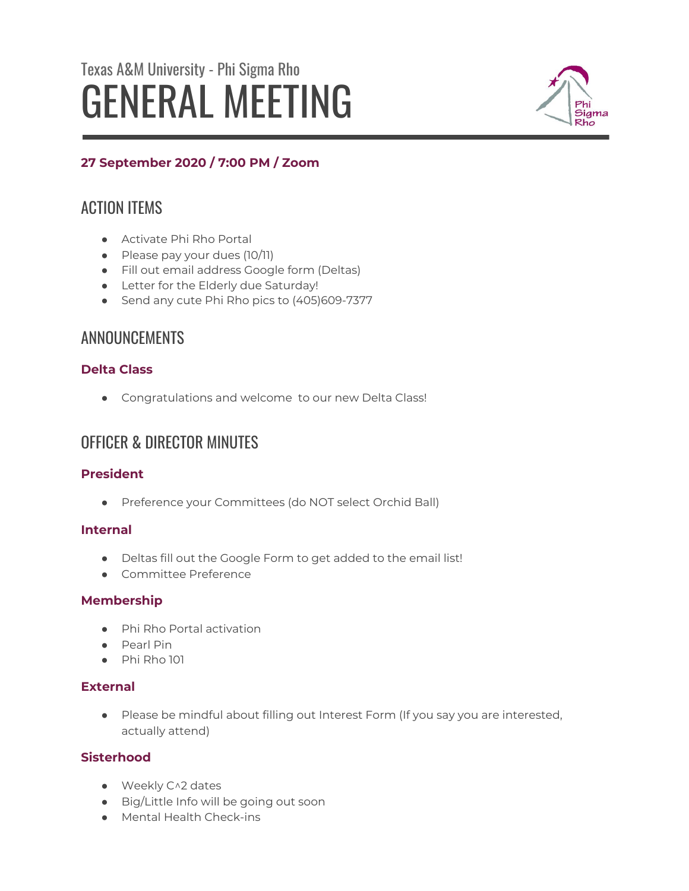# Texas A&M University - Phi Sigma Rho GENERAL MEETING



# **27 September 2020 / 7:00 PM / Zoom**

# ACTION ITEMS

- Activate Phi Rho Portal
- Please pay your dues (10/11)
- Fill out email address Google form (Deltas)
- Letter for the Elderly due Saturday!
- Send any cute Phi Rho pics to (405)609-7377

# ANNOUNCEMENTS

# **Delta Class**

● Congratulations and welcome to our new Delta Class!

# OFFICER & DIRECTOR MINUTES

# **President**

● Preference your Committees (do NOT select Orchid Ball)

# **Internal**

- Deltas fill out the Google Form to get added to the email list!
- Committee Preference

## **Membership**

- Phi Rho Portal activation
- Pearl Pin
- Phi Rho 101

# **External**

● Please be mindful about filling out Interest Form (If you say you are interested, actually attend)

## **Sisterhood**

- Weekly C^2 dates
- Big/Little Info will be going out soon
- Mental Health Check-ins